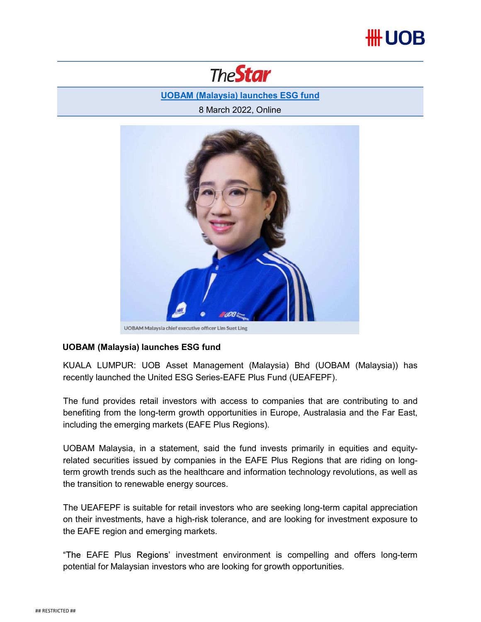## ## UOB



UOBAM (Malaysia) launches ESG fund

8 March 2022, Online



## UOBAM (Malaysia) launches ESG fund

**THE SET ASSEM (Malaysia) and CONDINGTON CONDUCTS CONDUCTS (MALA CONDUCTS) AND CONDUCTS (MALA CUMPURE IDO AND A CONDINGTON THE FURNAL CONDUCTS THE FURNAL CONDUCTS THE FURNAL THE FURNAL THE FURNAL THE FURNAL THE FURNAL THE THE UCAFEPF** is suitable for retail investors who are seeking long-term capital appreciation<br>The EAFE Plus Research (Malaysia) Bhd (UOBAM (Malaysia)) has<br>recently launched the United ESG Series-EAFE Plus Fund (UEAFEPF).<br>T **COBAM (Malaysia) launches ESG fund<br>KUALA LUMPUR:** UOB Asset Management (Malaysia) Bhd (UOBAM (Malaysia)) has<br>recently launched the United ESG Series-EAFE Plus Fund (UEAFEPF).<br>The fund provides retail investors with access UOBAM (Malaysia) launches ESG fund<br>
KUALA LUMPUR: UOB Asset Management (Malaysia) Bhd (UOBAM (Malaysia)) has<br>
KUALA LUMPUR: UOB Asset Management (Malaysia) Bhd (UOBAM (Malaysia)) has<br>
recently launched the United ESG Serie The HUMPUR: UOB Asset Management (Malaysia) Bhd (UOBAM (Malaysia)) has<br>A LUMPUR: UOB Asset Management (Malaysia) Bhd (UEAFEPF).<br>And provides retail investors with access to companies that are contributing to and<br>tring from KUALA LUMPUR: UOB Asset Management (Malaysia) Bhd (UOBAM (Malaysia)) has<br>recently launched the United ESG Series-EAFE Plus Fund (UEAFEPF).<br>The fund provides retail investors with access to companies that are contributing t